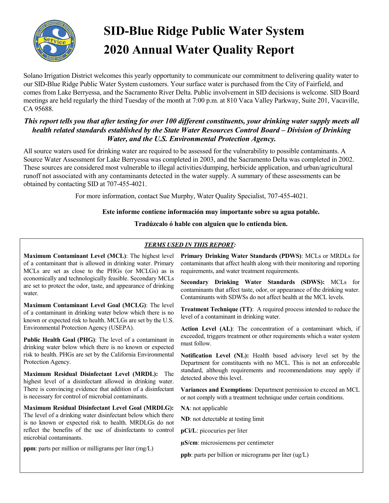

# **SID-Blue Ridge Public Water System 2020 Annual Water Quality Report**

Solano Irrigation District welcomes this yearly opportunity to communicate our commitment to delivering quality water to our SID-Blue Ridge Public Water System customers. Your surface water is purchased from the City of Fairfield, and comes from Lake Berryessa, and the Sacramento River Delta. Public involvement in SID decisions is welcome. SID Board meetings are held regularly the third Tuesday of the month at 7:00 p.m. at 810 Vaca Valley Parkway, Suite 201, Vacaville, CA 95688.

# *This report tells you that after testing for over 100 different constituents, your drinking water supply meets all health related standards established by the State Water Resources Control Board – Division of Drinking Water, and the U.S. Environmental Protection Agency.*

All source waters used for drinking water are required to be assessed for the vulnerability to possible contaminants. A Source Water Assessment for Lake Berryessa was completed in 2003, and the Sacramento Delta was completed in 2002. These sources are considered most vulnerable to illegal activities/dumping, herbicide application, and urban/agricultural runoff not associated with any contaminants detected in the water supply. A summary of these assessments can be obtained by contacting SID at 707-455-4021.

For more information, contact Sue Murphy, Water Quality Specialist, 707-455-4021.

## **Este informe contiene información muy importante sobre su agua potable.**

**Tradúzcalo ó hable con alguien que lo entienda bien.**

# *TERMS USED IN THIS REPORT:*

**Maximum Contaminant Level (MCL)**: The highest level of a contaminant that is allowed in drinking water. Primary MCLs are set as close to the PHGs (or MCLGs) as is economically and technologically feasible. Secondary MCLs are set to protect the odor, taste, and appearance of drinking water.

**Maximum Contaminant Level Goal (MCLG)**: The level of a contaminant in drinking water below which there is no known or expected risk to health. MCLGs are set by the U.S. Environmental Protection Agency (USEPA).

**Public Health Goal (PHG)**: The level of a contaminant in drinking water below which there is no known or expected risk to health. PHGs are set by the California Environmental Protection Agency.

**Maximum Residual Disinfectant Level (MRDL):** The highest level of a disinfectant allowed in drinking water. There is convincing evidence that addition of a disinfectant is necessary for control of microbial contaminants.

**Maximum Residual Disinfectant Level Goal (MRDLG):**  The level of a drinking water disinfectant below which there is no known or expected risk to health. MRDLGs do not reflect the benefits of the use of disinfectants to control microbial contaminants.

**ppm**: parts per million or milligrams per liter (mg/L)

**Primary Drinking Water Standards (PDWS)**: MCLs or MRDLs for contaminants that affect health along with their monitoring and reporting requirements, and water treatment requirements.

**Secondary Drinking Water Standards (SDWS):** MCLs for contaminants that affect taste, odor, or appearance of the drinking water. Contaminants with SDWSs do not affect health at the MCL levels.

**Treatment Technique (TT)**: A required process intended to reduce the level of a contaminant in drinking water.

**Action Level (AL)**: The concentration of a contaminant which, if exceeded, triggers treatment or other requirements which a water system must follow.

**Notification Level (NL):** Health based advisory level set by the Department for constituents with no MCL. This is not an enforceable standard, although requirements and recommendations may apply if detected above this level.

**Variances and Exemptions**: Department permission to exceed an MCL or not comply with a treatment technique under certain conditions.

**NA**: not applicable

**ND**: not detectable at testing limit

**pCi/L**: picocuries per liter

**µS/cm**: microsiemens per centimeter

**ppb**: parts per billion or micrograms per liter (ug/L)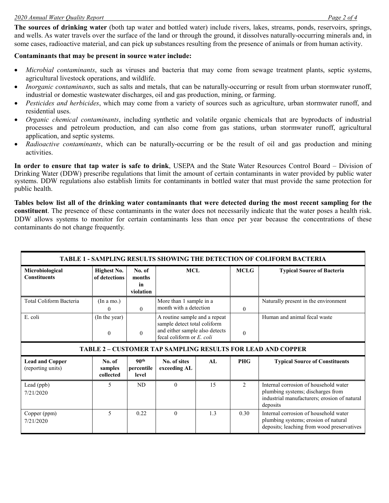#### *2020 Annual Water Quality Report Page 2 of 4*

**The sources of drinking water** (both tap water and bottled water) include rivers, lakes, streams, ponds, reservoirs, springs, and wells. As water travels over the surface of the land or through the ground, it dissolves naturally-occurring minerals and, in some cases, radioactive material, and can pick up substances resulting from the presence of animals or from human activity.

## **Contaminants that may be present in source water include:**

- *Microbial contaminants*, such as viruses and bacteria that may come from sewage treatment plants, septic systems, agricultural livestock operations, and wildlife.
- *Inorganic contaminants*, such as salts and metals, that can be naturally-occurring or result from urban stormwater runoff, industrial or domestic wastewater discharges, oil and gas production, mining, or farming.
- *Pesticides and herbicides*, which may come from a variety of sources such as agriculture, urban stormwater runoff, and residential uses.
- *Organic chemical contaminants*, including synthetic and volatile organic chemicals that are byproducts of industrial processes and petroleum production, and can also come from gas stations, urban stormwater runoff, agricultural application, and septic systems.
- *Radioactive contaminants*, which can be naturally-occurring or be the result of oil and gas production and mining activities.

**In order to ensure that tap water is safe to drink**, USEPA and the State Water Resources Control Board – Division of Drinking Water (DDW) prescribe regulations that limit the amount of certain contaminants in water provided by public water systems. DDW regulations also establish limits for contaminants in bottled water that must provide the same protection for public health.

**Tables below list all of the drinking water contaminants that were detected during the most recent sampling for the constituent**. The presence of these contaminants in the water does not necessarily indicate that the water poses a health risk. DDW allows systems to monitor for certain contaminants less than once per year because the concentrations of these contaminants do not change frequently.

| TABLE 1 - SAMPLING RESULTS SHOWING THE DETECTION OF COLIFORM BACTERIA |                                     |                                         |                                                                                                                              |     |               |                                                                                                                                        |  |  |
|-----------------------------------------------------------------------|-------------------------------------|-----------------------------------------|------------------------------------------------------------------------------------------------------------------------------|-----|---------------|----------------------------------------------------------------------------------------------------------------------------------------|--|--|
| Microbiological<br><b>Constituents</b>                                | <b>Highest No.</b><br>of detections | No. of<br>months<br>in<br>violation     | MCL                                                                                                                          |     | <b>MCLG</b>   | <b>Typical Source of Bacteria</b>                                                                                                      |  |  |
| Total Coliform Bacteria                                               | (In a mo.)<br>0                     | $\Omega$                                | More than 1 sample in a<br>month with a detection                                                                            |     | $\theta$      | Naturally present in the environment                                                                                                   |  |  |
| E. coli                                                               | (In the year)<br>$\theta$           | $\theta$                                | A routine sample and a repeat<br>sample detect total coliform<br>and either sample also detects<br>fecal coliform or E. coli |     | $\theta$      | Human and animal fecal waste                                                                                                           |  |  |
|                                                                       |                                     |                                         |                                                                                                                              |     |               | <b>TABLE 2 - CUSTOMER TAP SAMPLING RESULTS FOR LEAD AND COPPER</b>                                                                     |  |  |
| <b>Lead and Copper</b><br>(reporting units)                           | No. of<br>samples<br>collected      | 90 <sup>th</sup><br>percentile<br>level | No. of sites<br>exceeding AL                                                                                                 | AI. | <b>PHG</b>    | <b>Typical Source of Constituents</b>                                                                                                  |  |  |
| Lead (ppb)<br>7/21/2020                                               | 5                                   | ND                                      | $\Omega$                                                                                                                     | 15  | $\mathcal{L}$ | Internal corrosion of household water<br>plumbing systems; discharges from<br>industrial manufacturers; erosion of natural<br>deposits |  |  |
| Copper (ppm)<br>7/21/2020                                             | 5                                   | 0.22                                    | $\theta$                                                                                                                     | 1.3 | 0.30          | Internal corrosion of household water<br>plumbing systems; erosion of natural<br>deposits; leaching from wood preservatives            |  |  |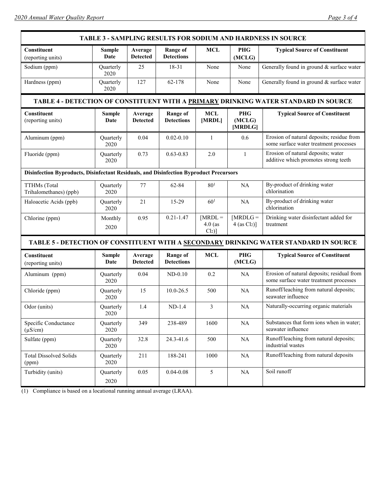| <b>TABLE 3 - SAMPLING RESULTS FOR SODIUM AND HARDNESS IN SOURCE</b>                    |                       |                            |                                      |                                   |                                          |                                                                                      |  |  |
|----------------------------------------------------------------------------------------|-----------------------|----------------------------|--------------------------------------|-----------------------------------|------------------------------------------|--------------------------------------------------------------------------------------|--|--|
| Constituent<br>(reporting units)                                                       | <b>Sample</b><br>Date | Average<br><b>Detected</b> | <b>Range of</b><br><b>Detections</b> | <b>MCL</b>                        | <b>PHG</b><br>(MCLG)                     | <b>Typical Source of Constituent</b>                                                 |  |  |
| Sodium (ppm)                                                                           | Quarterly<br>2020     | 25                         | 18-31                                | None                              | None                                     | Generally found in ground & surface water                                            |  |  |
| Hardness (ppm)                                                                         | Quarterly<br>2020     | 127                        | 62-178                               | None                              | None                                     | Generally found in ground & surface water                                            |  |  |
| TABLE 4 - DETECTION OF CONSTITUENT WITH A PRIMARY DRINKING WATER STANDARD IN SOURCE    |                       |                            |                                      |                                   |                                          |                                                                                      |  |  |
| Constituent<br>(reporting units)                                                       | <b>Sample</b><br>Date | Average<br><b>Detected</b> | <b>Range of</b><br><b>Detections</b> | <b>MCL</b><br>[MRDL]              | PHG<br>(MCLG)<br>[MRDLG]                 | <b>Typical Source of Constituent</b>                                                 |  |  |
| Aluminum (ppm)                                                                         | Quarterly<br>2020     | 0.04                       | $0.02 - 0.10$                        | $\mathbf{1}$                      | 0.6                                      | Erosion of natural deposits; residue from<br>some surface water treatment processes  |  |  |
| Fluoride (ppm)                                                                         | Quarterly<br>2020     | 0.73                       | $0.63 - 0.83$                        | 2.0                               | $\mathbf{1}$                             | Erosion of natural deposits; water<br>additive which promotes strong teeth           |  |  |
| Disinfection Byproducts, Disinfectant Residuals, and Disinfection Byproduct Precursors |                       |                            |                                      |                                   |                                          |                                                                                      |  |  |
| TTHMs (Total<br>Trihalomethanes) (ppb)                                                 | Quarterly<br>2020     | 77                         | 62-84                                | 80 <sup>1</sup>                   | NA                                       | By-product of drinking water<br>chlorination                                         |  |  |
| Haloacetic Acids (ppb)                                                                 | Quarterly<br>2020     | 21                         | 15-29                                | $60^{1}$                          | NA                                       | By-product of drinking water<br>chlorination                                         |  |  |
| Chlorine (ppm)                                                                         | Monthly<br>2020       | 0.95                       | $0.21 - 1.47$                        | $[MRDL =$<br>$4.0$ (as<br>$Cl2$ ] | $[MRDLG =$<br>$4$ (as Cl <sub>2</sub> )] | Drinking water disinfectant added for<br>treatment                                   |  |  |
| TABLE 5 - DETECTION OF CONSTITUENT WITH A SECONDARY DRINKING WATER STANDARD IN SOURCE  |                       |                            |                                      |                                   |                                          |                                                                                      |  |  |
| Constituent<br>(reporting units)                                                       | <b>Sample</b><br>Date | Average<br><b>Detected</b> | <b>Range of</b><br><b>Detections</b> | <b>MCL</b>                        | <b>PHG</b><br>(MCLG)                     | <b>Typical Source of Constituent</b>                                                 |  |  |
| Aluminum (ppm)                                                                         | Quarterly<br>2020     | 0.04                       | $ND-0.10$                            | 0.2                               | NA                                       | Erosion of natural deposits; residual from<br>some surface water treatment processes |  |  |
| Chloride (ppm)                                                                         | Quarterly<br>2020     | 15                         | 10.0-26.5                            | 500                               | NA                                       | Runoff/leaching from natural deposits;<br>seawater influence                         |  |  |
| Odor (units)                                                                           | Quarterly<br>2020     | 1.4                        | $ND-1.4$                             | 3                                 | NA                                       | Naturally-occurring organic materials                                                |  |  |
| Specific Conductance<br>$(\mu S/cm)$                                                   | Quarterly<br>2020     | 349                        | 238-489                              | 1600                              | $\rm NA$                                 | Substances that form ions when in water;<br>seawater influence                       |  |  |
| Sulfate (ppm)                                                                          | Quarterly<br>2020     | 32.8                       | 24.3-41.6                            | 500                               | $\rm NA$                                 | Runoff/leaching from natural deposits;<br>industrial wastes                          |  |  |
| <b>Total Dissolved Solids</b><br>(ppm)                                                 | Quarterly<br>2020     | 211                        | 188-241                              | 1000                              | <b>NA</b>                                | Runoff/leaching from natural deposits                                                |  |  |
| Turbidity (units)                                                                      | Quarterly<br>2020     | 0.05                       | $0.04 - 0.08$                        | 5                                 | NA                                       | Soil runoff                                                                          |  |  |

(1) Compliance is based on a locational running annual average (LRAA).